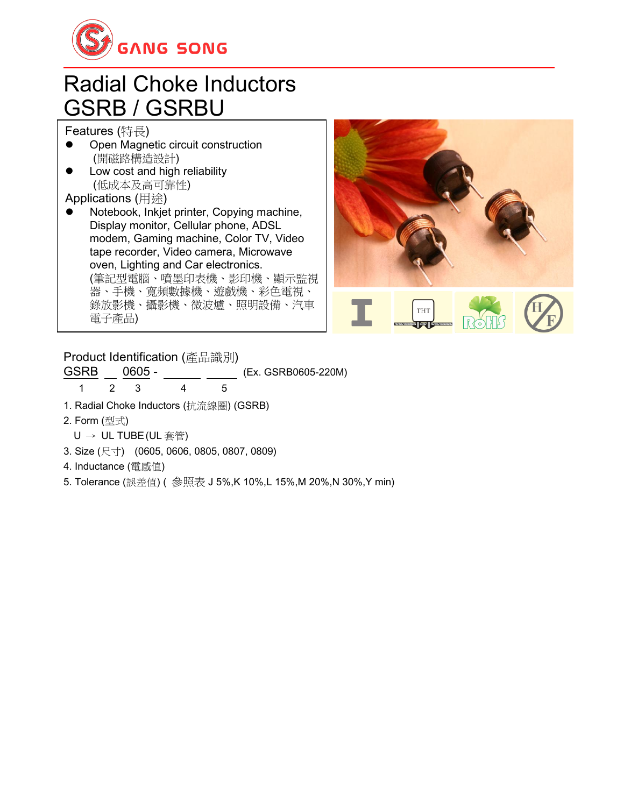

#### Radial Choke Inductors GSRB / GSRBU

Features (特長)

- Open Magnetic circuit construction (開磁路構造設計)
- ⚫ Low cost and high reliability (低成本及高可靠性)

Applications (用途)

⚫ Notebook, Inkjet printer, Copying machine, Display monitor, Cellular phone, ADSL modem, Gaming machine, Color TV, Video tape recorder, Video camera, Microwave oven, Lighting and Car electronics. (筆記型電腦、噴墨印表機、影印機、顯示監視 器、手機、寬頻數據機、遊戲機、彩色電視、 錄放影機、攝影機、微波爐、照明設備、汽車 電子產品)



Product Identification (產品識別)

GSRB 0605 - (Ex. GSRB0605-220M)

1 2 3 4 5

- 1. Radial Choke Inductors (抗流線圈) (GSRB)
- 2. Form (型式)
- U → UL TUBE(UL 套管)
- 3. Size (尺寸) (0605, 0606, 0805, 0807, 0809)
- 4. Inductance (電感值)
- 5. Tolerance (誤差值) ( 參照表 J 5%,K 10%,L 15%,M 20%,N 30%,Y min)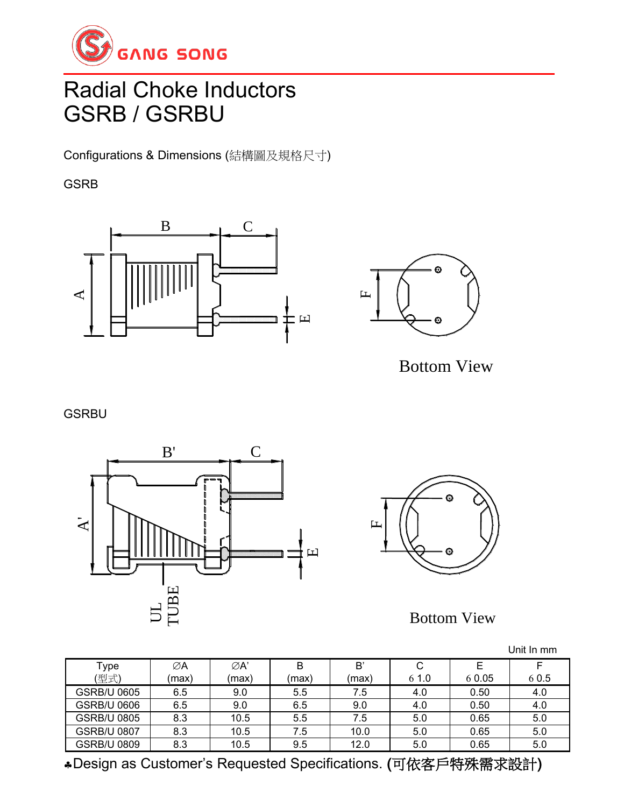

# Radial Choke Inductors GSRB / GSRBU

Configurations & Dimensions (結構圖及規格尺寸)

GSRB





Bottom View

**GSRBU** 





Bottom View

|                    |       |       |       |       |      |        | Unit In mm |
|--------------------|-------|-------|-------|-------|------|--------|------------|
| Type               | ØΑ    | ØA'   | B     | B     | C    |        |            |
| (型式)               | (max) | (max) | (max) | (max) | 61.0 | 6 0.05 | 6 0.5      |
| GSRB/U 0605        | 6.5   | 9.0   | 5.5   | 7.5   | 4.0  | 0.50   | 4.0        |
| <b>GSRB/U 0606</b> | 6.5   | 9.0   | 6.5   | 9.0   | 4.0  | 0.50   | 4.0        |
| <b>GSRB/U 0805</b> | 8.3   | 10.5  | 5.5   | 7.5   | 5.0  | 0.65   | 5.0        |
| <b>GSRB/U 0807</b> | 8.3   | 10.5  | 7.5   | 10.0  | 5.0  | 0.65   | 5.0        |
| <b>GSRB/U 0809</b> | 8.3   | 10.5  | 9.5   | 12.0  | 5.0  | 0.65   | 5.0        |

Design as Customer's Requested Specifications. (可依客戶特殊需求設計)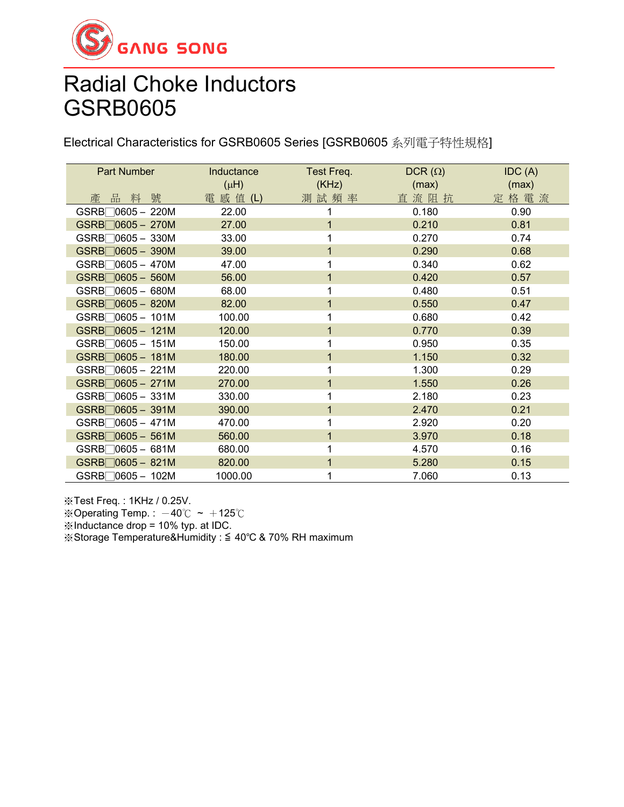

Electrical Characteristics for GSRB0605 Series [GSRB0605 系列電子特性規格]

| Part Number                                | Inductance | Test Freq. | $DCR(\Omega)$ | IDC(A) |
|--------------------------------------------|------------|------------|---------------|--------|
|                                            | $(\mu H)$  | (KHz)      | (max)         | (max)  |
| 品料號<br>產                                   | 電 感 值 (L)  | 測試頻率       | 直流阻抗          | 定格電流   |
| $GSRB \bigcap 0605 - 220M$                 | 22.00      |            | 0.180         | 0.90   |
| $GSRB$ 0605 - 270M                         | 27.00      |            | 0.210         | 0.81   |
| $GSRB$ 0605 - 330M                         | 33.00      |            | 0.270         | 0.74   |
| $GSRB$ 0605 - 390M                         | 39.00      |            | 0.290         | 0.68   |
| $GSRB$ 0605 - 470M                         | 47.00      |            | 0.340         | 0.62   |
| $GSRB$ 0605 - 560M                         | 56.00      |            | 0.420         | 0.57   |
| $GSRB$ 0605 - 680M                         | 68.00      |            | 0.480         | 0.51   |
| $GSRB$ 0605 - 820M                         | 82.00      |            | 0.550         | 0.47   |
| $GSRB$ 0605 - 101M                         | 100.00     |            | 0.680         | 0.42   |
| $GSRB$ 0605 - 121M                         | 120.00     | 1          | 0.770         | 0.39   |
| $GSRB \bigcap 0605 - 151M$                 | 150.00     |            | 0.950         | 0.35   |
| $GSRB$ $0605 - 181M$                       | 180.00     | 1          | 1.150         | 0.32   |
| $GSRB \square 0605 - 221M$                 | 220.00     |            | 1.300         | 0.29   |
| $GSRB$ 0605 - 271M                         | 270.00     |            | 1.550         | 0.26   |
| $GSRB$ 0605 - 331M                         | 330.00     |            | 2.180         | 0.23   |
| $GSRB$ 0605 - 391M                         | 390.00     | 1          | 2.470         | 0.21   |
| $GSRB$ 0605 - 471M                         | 470.00     |            | 2.920         | 0.20   |
| $GSRB$ 0605 - 561M                         | 560.00     |            | 3.970         | 0.18   |
| $GSRB$ 0605 - 681M                         | 680.00     |            | 4.570         | 0.16   |
| $GSRB$ $0605 - 821M$                       | 820.00     |            | 5.280         | 0.15   |
| $GSRB$ <sup><math>0605 - 102M</math></sup> | 1000.00    |            | 7.060         | 0.13   |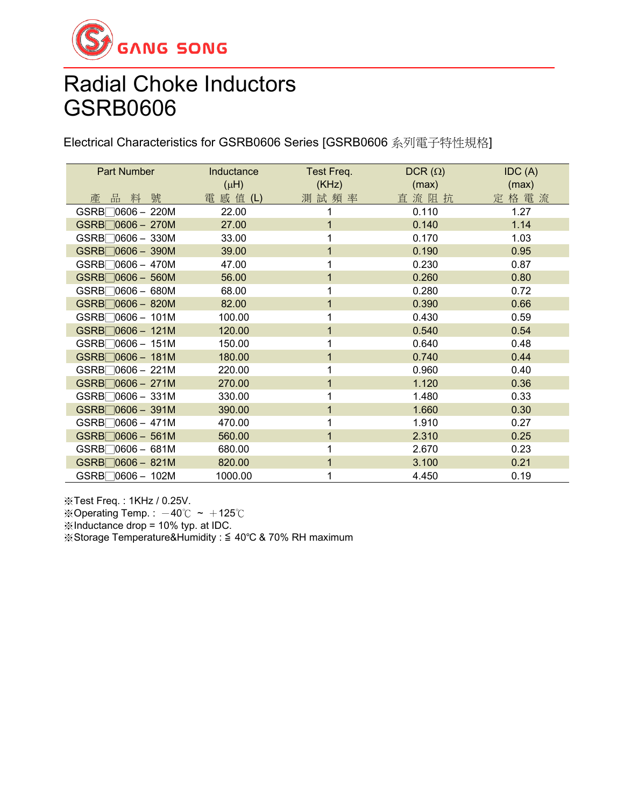

Electrical Characteristics for GSRB0606 Series [GSRB0606 系列電子特性規格]

| Part Number          | Inductance<br>$(\mu H)$ | Test Freq.<br>(KHz) | $DCR(\Omega)$<br>(max) | IDC(A)<br>(max) |
|----------------------|-------------------------|---------------------|------------------------|-----------------|
| 產品料號                 | 電 感 值 (L)               | 測試頻率                | 直流阻抗                   | 定格電流            |
| $GSRB$ 0606 – 220M   | 22.00                   | 1                   | 0.110                  | 1.27            |
| $GSRB$ 0606 - 270M   | 27.00                   |                     | 0.140                  | 1.14            |
| $GSRB$ 0606 - 330M   | 33.00                   |                     | 0.170                  | 1.03            |
| $GSRB$ 0606 - 390M   | 39.00                   |                     | 0.190                  | 0.95            |
| $GSRB$ 0606 - 470M   | 47.00                   |                     | 0.230                  | 0.87            |
| $GSRB$ 0606 - 560M   | 56.00                   | 1                   | 0.260                  | 0.80            |
| $GSRB$ 0606 - 680M   | 68.00                   |                     | 0.280                  | 0.72            |
| $GSRB$ 0606 - 820M   | 82.00                   |                     | 0.390                  | 0.66            |
| $GSRB$ 0606 - 101M   | 100.00                  |                     | 0.430                  | 0.59            |
| $GSRB$ 0606 - 121M   | 120.00                  | 1                   | 0.540                  | 0.54            |
| $GSRB$ 0606 - 151M   | 150.00                  |                     | 0.640                  | 0.48            |
| $GSRB$ $0606 - 181M$ | 180.00                  | 1                   | 0.740                  | 0.44            |
| $GSRB$ 0606 – 221M   | 220.00                  |                     | 0.960                  | 0.40            |
| $GSRB$ 0606 - 271M   | 270.00                  |                     | 1.120                  | 0.36            |
| $GSRB$ 0606 - 331M   | 330.00                  |                     | 1.480                  | 0.33            |
| $GSRB$ $0606 - 391M$ | 390.00                  | 1                   | 1.660                  | 0.30            |
| $GSRB$ 0606 – 471M   | 470.00                  |                     | 1.910                  | 0.27            |
| $GSRB$ 0606 - 561M   | 560.00                  | 1                   | 2.310                  | 0.25            |
| $GSRB$ 0606 - 681M   | 680.00                  |                     | 2.670                  | 0.23            |
| $GSRB$ 0606 - 821M   | 820.00                  |                     | 3.100                  | 0.21            |
| GSRB□0606 - 102M     | 1000.00                 |                     | 4.450                  | 0.19            |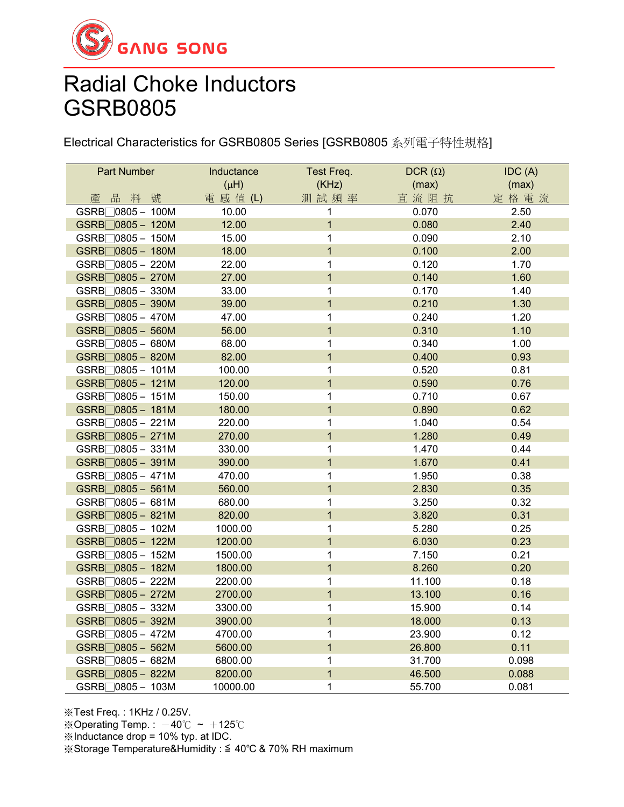

Electrical Characteristics for GSRB0805 Series [GSRB0805 系列電子特性規格]

| Part Number                 | Inductance | Test Freq.     | DCR $(\Omega)$ | IDC(A) |
|-----------------------------|------------|----------------|----------------|--------|
|                             | $(\mu H)$  | (KHz)          | (max)          | (max)  |
| 品料號<br>產                    | 電 感 值 (L)  | 測試頻率           | 直流阻抗           | 定格電流   |
| GSRB <sub>0805</sub> - 100M | 10.00      | 1              | 0.070          | 2.50   |
| GSRB□ 0805 - 120M           | 12.00      | $\overline{1}$ | 0.080          | 2.40   |
| $GSRB$ 0805 - 150M          | 15.00      | 1              | 0.090          | 2.10   |
| $GSRB$ 0805 - 180M          | 18.00      | $\overline{1}$ | 0.100          | 2.00   |
| $GSRB$ 0805 - 220M          | 22.00      | 1              | 0.120          | 1.70   |
| GSRB□0805 - 270M            | 27.00      | $\mathbf{1}$   | 0.140          | 1.60   |
| GSRB□0805 - 330M            | 33.00      | 1              | 0.170          | 1.40   |
| GSRB□0805-390M              | 39.00      | $\overline{1}$ | 0.210          | 1.30   |
| $GSRB$ 0805 - 470M          | 47.00      | 1              | 0.240          | 1.20   |
| GSRB□0805 - 560M            | 56.00      | $\overline{1}$ | 0.310          | 1.10   |
| GSRB□0805 - 680M            | 68.00      | 1              | 0.340          | 1.00   |
| GSRB□0805 - 820M            | 82.00      | $\mathbf{1}$   | 0.400          | 0.93   |
| GSRB□0805 - 101M            | 100.00     | 1              | 0.520          | 0.81   |
| $GSRB$ $0805 - 121M$        | 120.00     | $\overline{1}$ | 0.590          | 0.76   |
| $GSRB$ 0805 - 151M          | 150.00     | 1              | 0.710          | 0.67   |
| GSRB <sub>0805</sub> - 181M | 180.00     | $\overline{1}$ | 0.890          | 0.62   |
| $GSRB$ 0805 - 221M          | 220.00     | 1              | 1.040          | 0.54   |
| GSRB□0805 - 271M            | 270.00     | $\overline{1}$ | 1.280          | 0.49   |
| $GSRB$ 0805 - 331M          | 330.00     | 1              | 1.470          | 0.44   |
| $GSRB$ 0805 - 391M          | 390.00     | $\mathbf{1}$   | 1.670          | 0.41   |
| $GSRB$ 0805 - 471M          | 470.00     | 1              | 1.950          | 0.38   |
| GSRB□0805 - 561M            | 560.00     | $\overline{1}$ | 2.830          | 0.35   |
| $GSRB$ 0805 - 681M          | 680.00     | 1              | 3.250          | 0.32   |
| $GSRB$ 0805 - 821M          | 820.00     | $\overline{1}$ | 3.820          | 0.31   |
| GSRB□0805 - 102M            | 1000.00    | 1              | 5.280          | 0.25   |
| GSRB□0805 - 122M            | 1200.00    | $\overline{1}$ | 6.030          | 0.23   |
| $GSRB$ $0805 - 152M$        | 1500.00    | 1              | 7.150          | 0.21   |
| GSRB <sub>0805</sub> - 182M | 1800.00    | $\overline{1}$ | 8.260          | 0.20   |
| GSRB□0805 - 222M            | 2200.00    | 1              | 11.100         | 0.18   |
| GSRB□0805 - 272M            | 2700.00    | $\overline{1}$ | 13.100         | 0.16   |
| GSRB□0805 - 332M            | 3300.00    | 1              | 15.900         | 0.14   |
| GSRB□0805 - 392M            | 3900.00    | $\overline{1}$ | 18.000         | 0.13   |
| GSRB□ 0805 - 472M           | 4700.00    | 1              | 23.900         | 0.12   |
| $GSRB$ 0805 - 562M          | 5600.00    | $\overline{1}$ | 26.800         | 0.11   |
| GSRB□0805 - 682M            | 6800.00    | 1              | 31.700         | 0.098  |
| GSRB□0805 - 822M            | 8200.00    | $\overline{1}$ | 46.500         | 0.088  |
| GSRB <sub>0805</sub> - 103M | 10000.00   | $\mathbf{1}$   | 55.700         | 0.081  |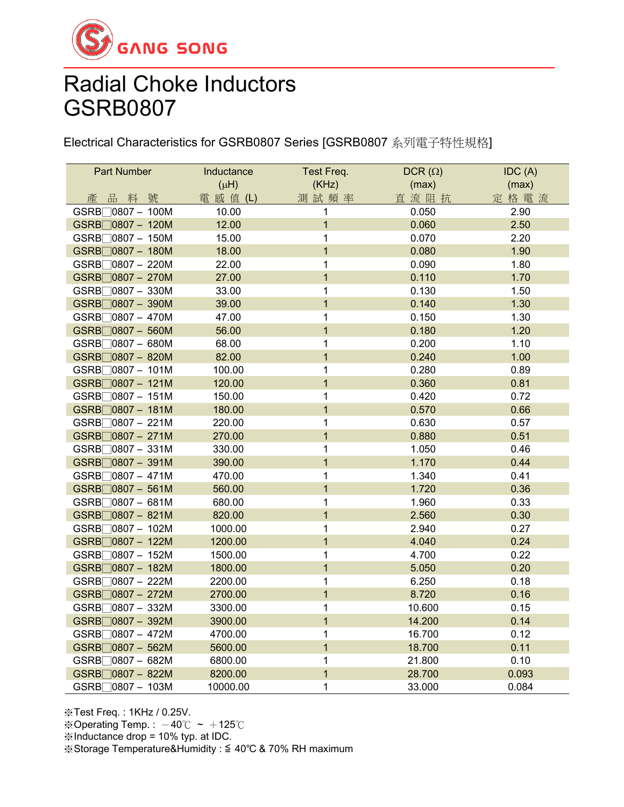

Electrical Characteristics for GSRB0807 Series [GSRB0807 系列電子特性規格]

| Part Number                  | Inductance | Test Freq.     | DCR $(\Omega)$ | IDC(A) |
|------------------------------|------------|----------------|----------------|--------|
|                              | $(\mu H)$  | (KHz)          | (max)          | (max)  |
| 產品料號                         | 電 感 值 (L)  | 測試頻率           | 直流阻抗           | 定格電流   |
| GSRB <sub>0807</sub> - 100M  | 10.00      | 1              | 0.050          | 2.90   |
| GSRB□ 0807 - 120M            | 12.00      | $\overline{1}$ | 0.060          | 2.50   |
| GSRB□0807 - 150M             | 15.00      | 1              | 0.070          | 2.20   |
| GSRB□0807 - 180M             | 18.00      | $\overline{1}$ | 0.080          | 1.90   |
| GSRB□0807 - 220M             | 22.00      | 1              | 0.090          | 1.80   |
| GSRB□0807 - 270M             | 27.00      | $\overline{1}$ | 0.110          | 1.70   |
| GSRB□0807 - 330M             | 33.00      | $\mathbf{1}$   | 0.130          | 1.50   |
| GSRB□0807 - 390M             | 39.00      | $\overline{1}$ | 0.140          | 1.30   |
| GSRB□0807 - 470M             | 47.00      | $\mathbf{1}$   | 0.150          | 1.30   |
| $GSRB$ 0807 - 560M           | 56.00      | $\overline{1}$ | 0.180          | 1.20   |
| GSRB <sub>0807</sub> - 680M  | 68.00      | 1              | 0.200          | 1.10   |
| GSRB□0807 - 820M             | 82.00      | $\overline{1}$ | 0.240          | 1.00   |
| GSRB <sub>0807</sub> - 101M  | 100.00     | 1              | 0.280          | 0.89   |
| GSRB <sub>0807</sub> - 121M  | 120.00     | $\mathbf{1}$   | 0.360          | 0.81   |
| GSRB <sub>0807</sub> - 151M  | 150.00     | $\mathbf 1$    | 0.420          | 0.72   |
| GSRB□0807 - 181M             | 180.00     | $\overline{1}$ | 0.570          | 0.66   |
| GSRB <sub>0807</sub> - 221M  | 220.00     | $\mathbf 1$    | 0.630          | 0.57   |
| GSRB□0807 - 271M             | 270.00     | $\overline{1}$ | 0.880          | 0.51   |
| GSRB <sub>0807</sub> - 331M  | 330.00     | 1              | 1.050          | 0.46   |
| GSRB□0807 - 391M             | 390.00     | $\overline{1}$ | 1.170          | 0.44   |
| GSRB <sub>0807</sub> - 471M  | 470.00     | 1              | 1.340          | 0.41   |
| GSRB <sub>0807</sub> - 561M  | 560.00     | $\overline{1}$ | 1.720          | 0.36   |
| GSRB <sup>10807</sup> - 681M | 680.00     | $\mathbf 1$    | 1.960          | 0.33   |
| GSRB□ 0807 - 821M            | 820.00     | $\overline{1}$ | 2.560          | 0.30   |
| GSRB <sub>0807</sub> - 102M  | 1000.00    | 1              | 2.940          | 0.27   |
| GSRB□0807 - 122M             | 1200.00    | $\overline{1}$ | 4.040          | 0.24   |
| GSRB <sub>0807</sub> - 152M  | 1500.00    | $\mathbf 1$    | 4.700          | 0.22   |
| GSRB <sub>0807</sub> - 182M  | 1800.00    | $\mathbf{1}$   | 5.050          | 0.20   |
| GSRB□0807 - 222M             | 2200.00    | $\mathbf 1$    | 6.250          | 0.18   |
| GSRB□0807 - 272M             | 2700.00    | $\overline{1}$ | 8.720          | 0.16   |
| GSRB□0807 - 332M             | 3300.00    | $\mathbf{1}$   | 10.600         | 0.15   |
| GSRB□0807 - 392M             | 3900.00    | $\overline{1}$ | 14.200         | 0.14   |
| GSRB <sub>0807</sub> - 472M  | 4700.00    | 1              | 16.700         | 0.12   |
| GSRB□ 0807 - 562M            | 5600.00    | $\overline{1}$ | 18.700         | 0.11   |
| GSRB□0807 - 682M             | 6800.00    | 1              | 21.800         | 0.10   |
| GSRB□0807 - 822M             | 8200.00    | $\overline{1}$ | 28.700         | 0.093  |
| GSRB <sup>10807</sup> - 103M | 10000.00   | $\mathbf{1}$   | 33.000         | 0.084  |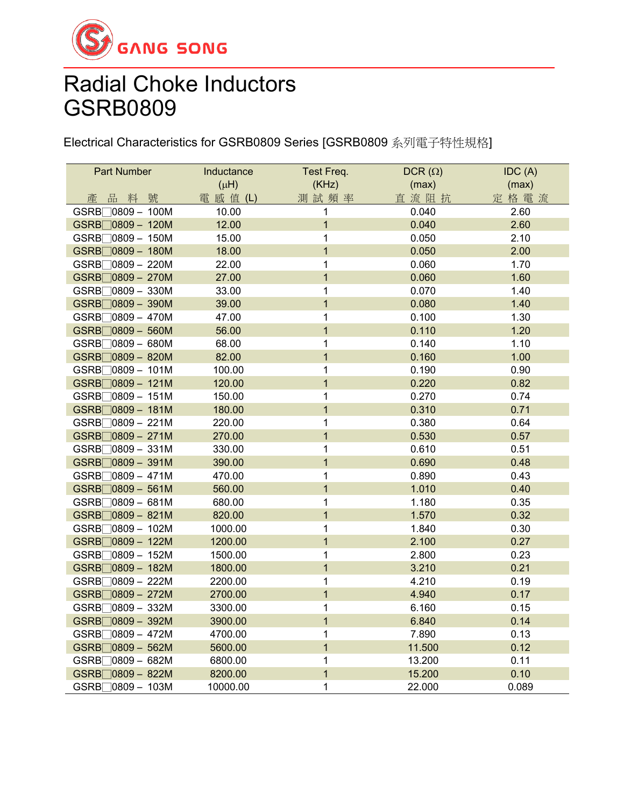

Electrical Characteristics for GSRB0809 Series [GSRB0809 系列電子特性規格]

| <b>Part Number</b>            | Inductance | Test Freq.     | DCR $(\Omega)$ | IDC (A) |
|-------------------------------|------------|----------------|----------------|---------|
|                               | $(\mu H)$  | (KHz)          | (max)          | (max)   |
| 品料號<br>產                      | 電 感 值 (L)  | 測試頻率           | 直流阻抗           | 定格電流    |
| GSRB <sub>0809</sub> - 100M   | 10.00      | 1              | 0.040          | 2.60    |
| GSRB <sub>0809</sub> - 120M   | 12.00      | $\overline{1}$ | 0.040          | 2.60    |
| GSRB□0809 - 150M              | 15.00      | $\mathbf{1}$   | 0.050          | 2.10    |
| GSRB□0809 - 180M              | 18.00      | $\overline{1}$ | 0.050          | 2.00    |
| GSRB <sup>10809</sup> - 220M  | 22.00      | $\mathbf 1$    | 0.060          | 1.70    |
| GSRB□ 0809 - 270M             | 27.00      | $\overline{1}$ | 0.060          | 1.60    |
| GSRB□0809 - 330M              | 33.00      | $\mathbf 1$    | 0.070          | 1.40    |
| GSRB□0809 - 390M              | 39.00      | $\overline{1}$ | 0.080          | 1.40    |
| GSRB□ 0809 - 470M             | 47.00      | $\mathbf{1}$   | 0.100          | 1.30    |
| GSRB <sub>0809</sub> - 560M   | 56.00      | $\overline{1}$ | 0.110          | 1.20    |
| $GSRB$ 0809 - 680M            | 68.00      | $\mathbf 1$    | 0.140          | 1.10    |
| GSRB□ 0809 - 820M             | 82.00      | $\overline{1}$ | 0.160          | 1.00    |
| $GSRB$ 0809 - 101M            | 100.00     | $\mathbf 1$    | 0.190          | 0.90    |
| GSRB <sub>0809</sub> - 121M   | 120.00     | $\mathbf{1}$   | 0.220          | 0.82    |
| GSRB <sub>0809</sub> - 151M   | 150.00     | $\mathbf 1$    | 0.270          | 0.74    |
| GSRB <sub>0809</sub> - 181M   | 180.00     | $\overline{1}$ | 0.310          | 0.71    |
| GSRB <sub>0809</sub> - 221M   | 220.00     | $\mathbf{1}$   | 0.380          | 0.64    |
| GSRB□0809 - 271M              | 270.00     | $\overline{1}$ | 0.530          | 0.57    |
| $GSRB$ 0809 - 331M            | 330.00     | $\mathbf 1$    | 0.610          | 0.51    |
| GSRB□ 0809 - 391M             | 390.00     | $\overline{1}$ | 0.690          | 0.48    |
| GSRB <sub>0809</sub> - 471M   | 470.00     | $\mathbf 1$    | 0.890          | 0.43    |
| GSRB□0809 - 561M              | 560.00     | $\overline{1}$ | 1.010          | 0.40    |
| GSRB <sup>10809</sup> - 681M  | 680.00     | $\mathbf 1$    | 1.180          | 0.35    |
| GSRB <sub>0809</sub> - 821M   | 820.00     | $\mathbf{1}$   | 1.570          | 0.32    |
| GSRB <sub>0809</sub> - 102M   | 1000.00    | $\mathbf 1$    | 1.840          | 0.30    |
| GSRB <sub>0809</sub> - 122M   | 1200.00    | $\overline{1}$ | 2.100          | 0.27    |
| $GSRB$ 0809 - 152M            | 1500.00    | $\mathbf 1$    | 2.800          | 0.23    |
| GSRB□0809 - 182M              | 1800.00    | $\mathbf{1}$   | 3.210          | 0.21    |
| GSRB <sub>0809</sub> - 222M   | 2200.00    | $\mathbf 1$    | 4.210          | 0.19    |
| GSRB□0809 - 272M              | 2700.00    | $\overline{1}$ | 4.940          | 0.17    |
| GSRB□0809 - 332M              | 3300.00    | $\mathbf 1$    | 6.160          | 0.15    |
| GSRB□ 0809 - 392M             | 3900.00    | $\mathbf 1$    | 6.840          | 0.14    |
| GSRB <sub>□</sub> 0809 - 472M | 4700.00    | $\mathbf 1$    | 7.890          | 0.13    |
| GSRB□0809 - 562M              | 5600.00    | $\overline{1}$ | 11.500         | 0.12    |
| GSRB <sup>10809</sup> - 682M  | 6800.00    | $\mathbf 1$    | 13.200         | 0.11    |
| GSRB□0809 - 822M              | 8200.00    | $\overline{1}$ | 15.200         | 0.10    |
| GSRB <sub>0809</sub> - 103M   | 10000.00   | $\mathbf{1}$   | 22.000         | 0.089   |